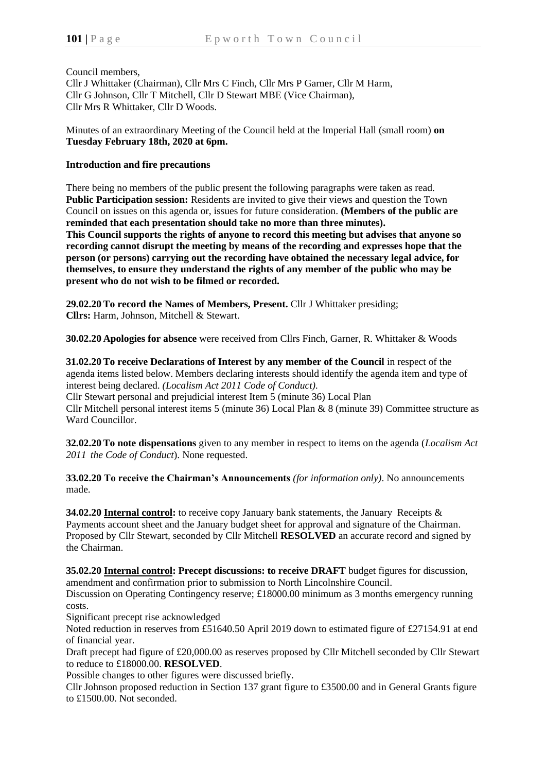Council members,

Cllr J Whittaker (Chairman), Cllr Mrs C Finch, Cllr Mrs P Garner, Cllr M Harm, Cllr G Johnson, Cllr T Mitchell, Cllr D Stewart MBE (Vice Chairman), Cllr Mrs R Whittaker, Cllr D Woods.

Minutes of an extraordinary Meeting of the Council held at the Imperial Hall (small room) **on Tuesday February 18th, 2020 at 6pm.**

## **Introduction and fire precautions**

There being no members of the public present the following paragraphs were taken as read. **Public Participation session:** Residents are invited to give their views and question the Town Council on issues on this agenda or, issues for future consideration. **(Members of the public are reminded that each presentation should take no more than three minutes). This Council supports the rights of anyone to record this meeting but advises that anyone so recording cannot disrupt the meeting by means of the recording and expresses hope that the person (or persons) carrying out the recording have obtained the necessary legal advice, for themselves, to ensure they understand the rights of any member of the public who may be present who do not wish to be filmed or recorded.**

**29.02.20 To record the Names of Members, Present.** Cllr J Whittaker presiding; **Cllrs:** Harm, Johnson, Mitchell & Stewart.

**30.02.20 Apologies for absence** were received from Cllrs Finch, Garner, R. Whittaker & Woods

**31.02.20 To receive Declarations of Interest by any member of the Council** in respect of the agenda items listed below. Members declaring interests should identify the agenda item and type of interest being declared. *(Localism Act 2011 Code of Conduct).*

Cllr Stewart personal and prejudicial interest Item 5 (minute 36) Local Plan Cllr Mitchell personal interest items 5 (minute 36) Local Plan & 8 (minute 39) Committee structure as Ward Councillor.

**32.02.20 To note dispensations** given to any member in respect to items on the agenda (*Localism Act 2011 the Code of Conduct*). None requested.

**33.02.20 To receive the Chairman's Announcements** *(for information only)*. No announcements made.

**34.02.20 Internal control:** to receive copy January bank statements, the January Receipts & Payments account sheet and the January budget sheet for approval and signature of the Chairman. Proposed by Cllr Stewart, seconded by Cllr Mitchell **RESOLVED** an accurate record and signed by the Chairman.

**35.02.20 Internal control: Precept discussions: to receive DRAFT** budget figures for discussion, amendment and confirmation prior to submission to North Lincolnshire Council.

Discussion on Operating Contingency reserve; £18000.00 minimum as 3 months emergency running costs.

Significant precept rise acknowledged

Noted reduction in reserves from £51640.50 April 2019 down to estimated figure of £27154.91 at end of financial year.

Draft precept had figure of £20,000.00 as reserves proposed by Cllr Mitchell seconded by Cllr Stewart to reduce to £18000.00. **RESOLVED**.

Possible changes to other figures were discussed briefly.

Cllr Johnson proposed reduction in Section 137 grant figure to £3500.00 and in General Grants figure to £1500.00. Not seconded.